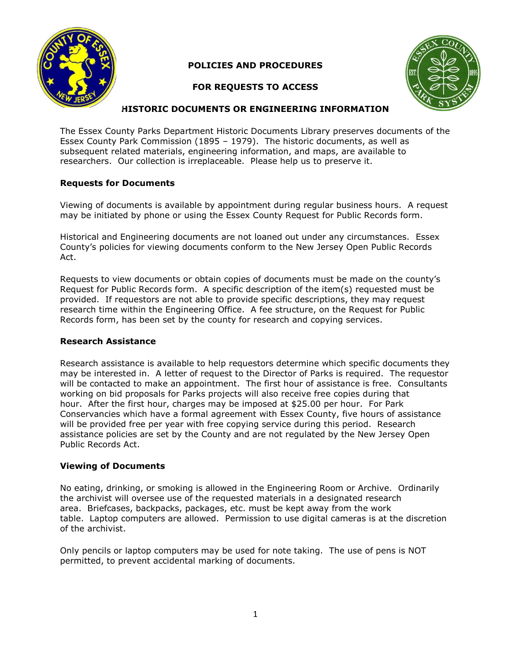

# **POLICIES AND PROCEDURES**

# **FOR REQUESTS TO ACCESS**



## **HISTORIC DOCUMENTS OR ENGINEERING INFORMATION**

The Essex County Parks Department Historic Documents Library preserves documents of the Essex County Park Commission (1895 – 1979). The historic documents, as well as subsequent related materials, engineering information, and maps, are available to researchers. Our collection is irreplaceable. Please help us to preserve it.

### **Requests for Documents**

Viewing of documents is available by appointment during regular business hours. A request may be initiated by phone or using the Essex County Request for Public Records form.

Historical and Engineering documents are not loaned out under any circumstances. Essex County's policies for viewing documents conform to the New Jersey Open Public Records Act.

Requests to view documents or obtain copies of documents must be made on the county's Request for Public Records form. A specific description of the item(s) requested must be provided. If requestors are not able to provide specific descriptions, they may request research time within the Engineering Office. A fee structure, on the Request for Public Records form, has been set by the county for research and copying services.

#### **Research Assistance**

Research assistance is available to help requestors determine which specific documents they may be interested in. A letter of request to the Director of Parks is required. The requestor will be contacted to make an appointment. The first hour of assistance is free. Consultants working on bid proposals for Parks projects will also receive free copies during that hour. After the first hour, charges may be imposed at \$25.00 per hour. For Park Conservancies which have a formal agreement with Essex County, five hours of assistance will be provided free per year with free copying service during this period. Research assistance policies are set by the County and are not regulated by the New Jersey Open Public Records Act.

## **Viewing of Documents**

No eating, drinking, or smoking is allowed in the Engineering Room or Archive. Ordinarily the archivist will oversee use of the requested materials in a designated research area. Briefcases, backpacks, packages, etc. must be kept away from the work table. Laptop computers are allowed. Permission to use digital cameras is at the discretion of the archivist.

Only pencils or laptop computers may be used for note taking. The use of pens is NOT permitted, to prevent accidental marking of documents.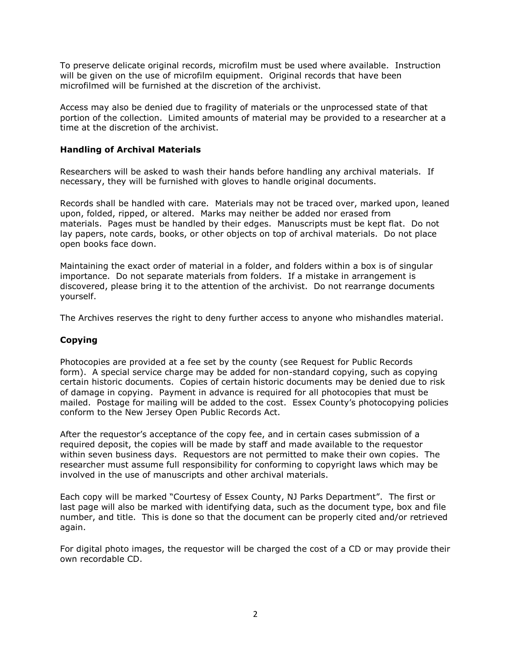To preserve delicate original records, microfilm must be used where available. Instruction will be given on the use of microfilm equipment. Original records that have been microfilmed will be furnished at the discretion of the archivist.

Access may also be denied due to fragility of materials or the unprocessed state of that portion of the collection. Limited amounts of material may be provided to a researcher at a time at the discretion of the archivist.

#### **Handling of Archival Materials**

Researchers will be asked to wash their hands before handling any archival materials. If necessary, they will be furnished with gloves to handle original documents.

Records shall be handled with care. Materials may not be traced over, marked upon, leaned upon, folded, ripped, or altered. Marks may neither be added nor erased from materials. Pages must be handled by their edges. Manuscripts must be kept flat. Do not lay papers, note cards, books, or other objects on top of archival materials. Do not place open books face down.

Maintaining the exact order of material in a folder, and folders within a box is of singular importance. Do not separate materials from folders. If a mistake in arrangement is discovered, please bring it to the attention of the archivist. Do not rearrange documents yourself.

The Archives reserves the right to deny further access to anyone who mishandles material.

## **Copying**

Photocopies are provided at a fee set by the county (see Request for Public Records form). A special service charge may be added for non-standard copying, such as copying certain historic documents. Copies of certain historic documents may be denied due to risk of damage in copying. Payment in advance is required for all photocopies that must be mailed. Postage for mailing will be added to the cost. Essex County's photocopying policies conform to the New Jersey Open Public Records Act.

After the requestor's acceptance of the copy fee, and in certain cases submission of a required deposit, the copies will be made by staff and made available to the requestor within seven business days. Requestors are not permitted to make their own copies. The researcher must assume full responsibility for conforming to copyright laws which may be involved in the use of manuscripts and other archival materials.

Each copy will be marked "Courtesy of Essex County, NJ Parks Department". The first or last page will also be marked with identifying data, such as the document type, box and file number, and title. This is done so that the document can be properly cited and/or retrieved again.

For digital photo images, the requestor will be charged the cost of a CD or may provide their own recordable CD.